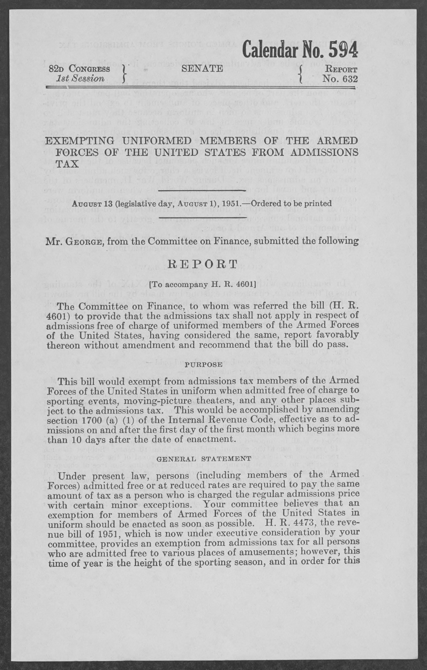|                                         |               | <b>Calchuar No. 394</b>  |
|-----------------------------------------|---------------|--------------------------|
| 82 <sub>D</sub> CONGRESS<br>1st Session | <b>SENATE</b> | <b>REPORT</b><br>No. 632 |

 $C_1$ <sub>1</sub>, 1, N<sub>o</sub> $R$ <sub>1</sub>,  $F \cap A$ 

EXEMPTING UNIFORMED MEMBERS OF THE ARMED FORCES OF THE UNITED STATES FROM ADMISSIONS TAX

AUGUST 13 (legislative day, AUGUST 1), 1951.—Ordered to be printed

Mr. GEORGE, from the Committee on Finance, submitted the following

# REPORT

#### **EXAMPLE 2018 ITO accompany H. R. 46011**

The Committee on Finance, to whom was referred the bill (H. R. 4601) to provide that the admissions tax shall not apply in respect of admissions free of charge of uniformed members of the Armed Forces of the United States, having considered the same, report favorably thereon without amendment and recommend that the bill do pass.

#### PURPOSE

This bill would exempt from admissions tax members of the Armed Forces of the United States in uniform when admitted free of charge to sporting events, moving-picture theaters, and any other places subject to the admissions tax. This would be accomplished by amending section 1700 (a) (1) of the Internal Revenue Code, effective as to admissions on and after the first day of the first month which begins more than 10 days after the date of enactment.

#### GENERAL STATEMENT

Under present law, persons (including members of the Armed Forces) admitted free or at reduced rates are required to pay the same amount of tax as a person who is charged the regular admissions price with certain minor exceptions. Your committee believes that an exemption for members of Armed Forces of the United States in uniform should be enacted as soon as possible. H. R. 4473, the revenue bill of 1951, which is now under executive consideration by your committee, provides an exemption from admissions tax for all persons who are admitted free to various places of amusements; however, this time of year is the height of the sporting season, and in order for this